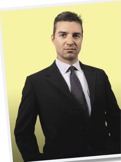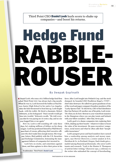Third Point CEO Daniel Loeb hurls scorn to shake up companies—and boost his returns.

# Hedge Fund Hedge RABBLE-ROUSER

### By Deepak Gopinath

**'**Daniel Loeb, who runs a \$3.5 billion hedge fund firm Daniel Loeb, who runs a \$3.5 billion hedge fund firm called Third Point LLC, has always had a big mouth. called Third Point LLC, has always had a big mouth. When he was 12, Loeb hectored the bullies at Paul Re-When he was 12, Loeb hectored the bullies at Paul vere Junior High School in his native Los Angeles. vere Junior High School in his native Los Angeles. After the kids threatened to beat him up, Loeb fought After the kids threatened to beat him up, Loeb fought back—with his wallet. He hired a classmate, Robert back—with his wallet. He hired a classmate, Robert Schwartz, as his bodyguard. "Dan's mouth would get Schwartz, as his bodyguard. "Dan's mouth would get him into trouble," Schwartz recalls. "He told every-him into trouble," Schwartz recalls. "He told one that he was paying me 25 cents a day, and no one one that he was paying me 25 cents a day, and no one ever bugged him or me again." ever bugged him or me

Now 43, Loeb is still sounding off—only these Now 43, Loeb is still sounding off—only these days, he's staking millions of dollars on his sharp days, he's staking millions of dollars on his sharp tongue. Loeb has positioned himself as Wall Street's tongue. Loeb has positioned himself as Wall Street's merchant of venom, pillorying chief executive offi-merchant of venom, pillorying chief executive cers who don't make him enough money. His weap-cers who don't make him enough money. His ons: letters, filed publicly with the U.S. Securities ons: letters, filed publicly with the U.S. Securities and Exchange Commission, bemoaning the man-and Exchange Commission, bemoaning the agement failures of companies he's invested in. agement failures of companies he's invested

Loeb bets on stocks, and sometimes against them, and then agitates to drive their prices in his them, and then agitates to drive their prices in his

**Troublemaker: Third Point's** Daniel Loeb **Troublemaker: Third Point's**

favor. After Loeb bought into Potlatch Corp. and the stock slumped, he branded CEO Pendleton Siegel a "CVD" chief value destroyer. He called two great-grandsons of one of the wood and paper company's founders members of the "Lucky Sperm Club." To Irik Sevin, CEO of fuel distributor Star Gas Partners LP, another one of his picks, Loeb wrote: "Do what you do best: Retreat to your waterfront mansion in the Hamptons where you can play tennis and hobnob with your fellow socialites." After that, Sevin quit.

Loeb's goal is to shame companies into replacing their CEOs, shaking up their boards—whatever it takes to boost the value of his investment. He pans executives' competence, social mores and what he often calls their "inexplicable insouciance."

Loeb's pungent prose and hard numbers have earned him a readership among analysts and money managers, says Steven Chercover, a senior analyst at D.A. Davidson & Co. in Portland, Oregon. Each tirade gets emailed among financial professionals, who savor Loeb's taunts and research. "Loeb is the Hunter S. Thompson of activist letter writing," Chercover says, a reference to the writer who unleashed the concept of freewheeling,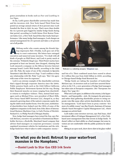gonzo journalism in books such as *Fear and Loathing in Las Vegas*.

So far, Loeb's gonzo shareholder activism has made him and his investors rich. New York–based Third Point has posted an average annual return of 28.9 percent since Loeb founded the firm in 1995, he says. That's more than double the 12.5 percent gain logged by similar hedge funds during that period, according to Credit Suisse First Boston Tremont Index LLC, a New York–based firm that tracks fund performance. Like many hedge fund managers, Loeb charges an annual management fee of 2 percent and takes a 20 percent cut of all profits.

Alifelong surfer who counts among his friends hip-<br>hop impresario Fab 5 Freddy, Loeb goes out of his<br>way to court controversy. His letters have outraged hop impresario Fab 5 Freddy, Loeb goes out of his way to court controversy. His letters have outraged executives and unnerved some investors. "I've dealt with all kinds of people on Wall Street, and Loeb is pretty much at the extreme," Potlatch's Siegel says. Third Point's tactics have prompted at least one lawsuit, later dropped, claiming that Loeb smeared a company on the Silicon Investor Internet message board. Loeb's Web handle, according to the 1999 suit: Mr. Pink, the name of one of the criminals in Quentin Tarantino's 1992 film *Reservoir Dogs*. "I can't confirm or deny any relationship with Mr. Pink," Loeb says. "But I do agree with some of the views he expresses."

Loeb is an extreme example of the shareholder activism that's ripped through corporate America since the 1980s. Public pension funds such as the \$190 billion California Public Employees' Retirement System led the way, flexing their financial muscles on issues ranging from shareholder returns to workplace violence. Then, mutual fund managers such as Michael Price, now president of Short Hills, New Jersey–based MFP Investors LLC, charged in, as they amassed a growing share of the nation's corporate equity during the 1990s stock market boom. Over the years, institutional shareholders have helped oust the CEOs of some of the mightiest companies in the land, from John Akers of International Business Machines Corp. to Carly Fiorina of Hewlett-Packard Co. to Philip Purcell of Morgan Stanley.

Now, hedge fund managers have joined the fray, says Patrick McGurn, executive vice president of Institutional Shareholder Services, a Rockville, Maryland–based company that advises fund managers on corporate governance. Loosely regulated investment vehicles for institutions and the rich, hedge funds have what it takes to rattle companies: money—



**'Ridicule is a radiating weapon,'** Chapman **says.**

and lots of it. Their combined assets have soared to about \$1.1 trillion this year from \$490 billion in 2000, according to Chicago-based Hedge Fund Research Inc.

"Hedge funds are taking the mandate of leadership," McGurn says. As investors such as Loeb have asserted themselves in the U.S., a new generation of hedge fund managers has taken aim at European companies. (See "Europeans Are Angry, Too," page 56.)

What sets Loeb apart, in addition to his returns, is his hyperkinetic—and hyperpublic—style. He trumpets his grievances, and rather than gathering shareholder proxies to swing corporate votes like many other activist shareholders do, he heckles management. "Loeb hasn't been in proxy contests—he's more of a rabble-rouser," says Ray French, chairman of Cayman Islands–based Strongbow Capital Management Ltd., which manages an activist fund.

Loeb makes some investors nervous, says Paul Isaac, chief investment officer of Cadogan Management LLC, a New York– based asset management firm that invests in hedge funds. "It doesn't reflect on Dan's ability as a fund manager, but some investors are not comfortable with the public positions he takes," he says.

Sitting in an open-neck, short-sleeve shirt in his glass-walled

# 'Do what you do best: Retreat to your waterfront mansion in the Hamptons.'

—Daniel Loeb to Star Gas CEO Irik Sevin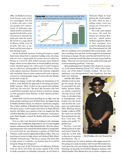Palisades High, he kept playing the stock market. By 1983, when he was a college senior, Loeb was sitting on \$120,000 in

On a roll, Loeb reached for more. He sank his money into Puritan-Bennett Inc., which makes medical respirators. Shares of that company, now owned by Bermuda-based Tyco International Ltd., fell

profits, he says.

office on Madison Avenue, Loeb doesn't come across as a curmudgeon. Five feet 9 inches tall and a trim 158 pounds, he's a practitioner of Ashtanga yoga, which involves synchronizing the breath with a series of postures to detoxify the body and calm the mind. He travels to a yoga school in Mysore, India, every 18 months. His face is unlined, and his brown hair is just starting to gray.





\*As of July 31. Return data is for Third Point Partners and is net of fees. Source: Third Point

On his bookshelf, *Optimal Trading Strategies*, a mathheavy tome about how to minimize trading costs, sits alongside *Art Law*, a legal guide for artists and art collectors. Nearby is a novel by 1978 Nobel Laureate Isaac Bashevis Singer, whose stories often draw on Jewish folklore and mysticism. Stacked against the wall is part of Loeb's burgeoning art collection: photographs by Richard Prince, whose work explores America's obsession with celebrity, originality and ownership. Prince's most controversial work is *Spiritual America*, a photographic image of actress Brooke Shields, in the nude, at age 10.

Between typing e-mails and calling out instructions to his traders, Loeb defends his approach to investing and shareholder activism. "Most of what we do is good stock picking," Loeb says, his voice low. "We don't like investors who have a conformist mentality and are drawn to mediocre managers who guarantee them dull but, in their opinion, predictable results."

Daniel Seth Loeb has been prowling for an edge since his boyhood days catching waves at Third Point, the biggest break at Malibu Surfrider Beach, for which he named his company. One of three children of Ronald and Clare Spark Loeb, young Dan grew up in a 4,000-square-foot house in Santa Monica Canyon. His father was a partner at the Los Angeles law firm of Irell & Manella LLP. His mother is a historian. Loeb's greataunt, Ruth Handler, created the Barbie doll and co-founded Mattel Inc.

Even as a kid, Loeb dreamed of striking it rich, classmate Schwartz says. At Palisades High School, one of Loeb's English teachers nicknamed him Milo Minderbinder, after the scheming entrepreneur who controls the black market in Joseph Heller's novel *Catch-22*, says Schwartz, a partner at Third Point Ventures, Loeb's venture capital unit in Silicon Valley. "Dan was investing in stocks in high school and idolized Milo Minderbinder," Schwartz says. "The fact is, anyone who knew Dan in high school, it would be a no-brainer that he would be doing the things he's doing now."

After two years at the University of California, Berkeley, Loeb set off for New York, the money capital of the world, to study economics at Columbia University. As he'd done at after its ventilators were associated with several deaths. Loeb lost everything. Not only that, he'd leveraged his investments by buying on margin. He also owed his dad \$7,000 for tax liabilities. Loeb says it took him almost 10 years to pay back his father. "That was a 10-year lesson in the perils of leverage and overconcentrating positions," Loeb says.

After graduating from Columbia with a degree in economics, Loeb joined Warburg Pincus LLC, where John Vogelstein, one of his father's friends, worked. "He was very ambitious, very entrepreneurial," says Vogelstein, now the

firm's vice chairman.

And like Milo Minderbinder, Loeb was hungry for a profit. He says he persuaded his godfather, Robert Robin, an outside counsel for Chicago-based CNW Corp., to introduce him to management. Loeb looked over the books and decided the company was undervalued. After Warburg Pincus bought a stake in CNW, the stock rose and the firm pocketed \$20 million, Loeb says. "We made a nice profit," Vogelstein says.

Restless, Loeb left Warburg Pincus in 1987 and joined Island Records Inc. in New York as director of corporate development. The re-



Fab 5 Freddy **calls Loeb 'financial hip.'**

cord company got its start in Jamaica with reggae music before going on to make its money with U2 and The Cranberries. Loeb spent the next year helping Island Records secure debt financing. At one point, he traveled to Kingston, Jamaica, with Island founder Chris Blackwell to try to resolve a dispute over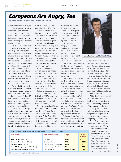# *Europeans Are Angry, Too*

By Jacqueline Simmons and Katherine Burton

When Jean-Claude Marian, the supervisory board chairman of Medidep SA, arrived at the sumptuous Hotel Le Parc in Paris on June 21, angry shareholders were waiting. Among them was hedge fund manager Mathieu Dubicq.

Dubicq and the other investors had arrived at Medidep's annual general meeting that day to give Marian, 66, an ultimatum: Quit, or we'll vote to have you fired. Dubicq, 32, says Marian had to go because he was working for Medidep while simultaneously running its chief competitor, Orpea SA. Both companies are based in Paris and operate nursing homes.

Marian walked out. Twenty minutes later, he returned and told the crowd he would resign. Applause broke out.

"We felt that if we didn't react with other shareholders, the situation would stay as it was," says Dubicq, who runs the London-based Mellon HBV European Special Situations Fund. "In our opinion, they were taking advantage of the situation as a competitor."

Dubicq is part of a new generation of hedge fund managers turned shareholder activists who have set their sites on Europe. So far this year, these investors have led revolts at more than 10 European companies, including Deutsche Börse AG,

IWKA AG, Nestlé SA, Royal Dutch Shell Plc and Suez SA.

Europe is ripe for such shareholder activism, says Stephen Davis, president of Davis Global Advisors, a Bostonbased international corporate governance consulting firm. "Hedge funds are waking up to the fact that activism pays, so they are going the activism route and going for it quickly," Davis says. "In Europe, there is a large population of underperforming companies that have never been exposed to market pressures."

It's a golden opportunity for the hedge funds, whose combined assets under management have more than doubled to \$1 trillion since 2001. These private partnerships for institutions and the rich are eager to boost their performance: Hedge funds posted an average return of only 1.9 percent during the first half of 2005, according to Hedge Fund Research Inc., a Chicago-based firm that tracks the industry.

There are now about 90 activist hedge funds worldwide, according to Thomas Taylor, head of Greenwich, Connecticut–based Taylor Cos., which was planning to launch its own activist hedge fund of funds in September. That's up from 40 three years ago. Many of these

newcomers are run by 30-somethings such as Dubicq and Christopher Hohn, 38, who started London-based Children's Investment Fund Management LLP in 2003.

"They're young and hungry," says Sophie L'Helias, a New York– based lawyer. "They're not part of the establishment, and they don't have an ax to grind.

They just have to perform."

The better these managers do, the more they'll be paid. Hedge funds generally charge a 1.5 percent management fee and take a 20 percent cut of any profit.

The chance for a big paycheck appeals to long-time activists, too, some of whom recently opened partnerships to take advantage of the popularity of funds geared toward shaking up companies. Corporate raider Carl Icahn, 69, for example, started a fund last year that charged 2.5 percent of assets and 25 percent of any gains. Guy Wyser-Pratte, 65, a longtime New York– based activist, has been raising money for a fund, too.

In Europe, hedge funds' new, aggressive stance has increased concern that these investors will put their own profits ahead of jobs and companies' long-term

**Hedge fund activist** Mathieu Dubicq

welfare. Hohn, for example, this year led an assault on Frankfurtbased Deutsche Börse, Europe's largest stock exchange by market value, to stop a \$2.3 billion bid for London Stock Exchange Plc. Hohn and other shareholders said the deal was too expensive. The uproar prompted Deutsche Börse Chief Executive Officer Werner Seifert to quit, along with the company's supervisory board head, Rolf Breur, and three other board members.

While Hohn's move boosted Deutsche Börse stock, it drew fire from German politicians. Franz Müntefering, chairman of the country's Social Democratic Party, characterized Hohn and other international hedge fund managers as "a swarm of locusts, destroying everything and moving on."

Wyser-Pratte, recently involved in a shake-up at German machine maker IWKA,

> says Hohn and fellow shareholders may have gone too far at Deutsche Börse. "It was right to revolt against the London Stock Exchange bid, but to go after Breuer, there I part ways," he says. "They had accomplished their goal. What was that

Icahn Partners (New York) Euro Value Fund (Cayman Islands) Cevian Capital (Stockholm) Mellon HBV European Special Situations (London) Children's Investment Fund (London) **Fund (location)** Carl Icahn Guy Wyser-Pratte Christer Gardell, Lars Forberg Mickey Harley, Mathieu Dubicq Christopher Hohn **Manager(s)/founder(s) in millions** \$2,000 500\* 400 350 NA **Target** Metso IWKA Lindex Medidep Deutsche Börse Eurotrashers These hedge funds have taken on European companies**.**

\*Still in the process of raising the funds. Source: Bloomberg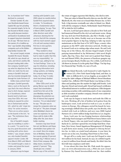for, to humiliate him?" Hohn declined to comment.

Christer Gardell, 45, who runs Stockholm-based Cevian Capital AB, says he's prowling for corporate targets. So far, he has focused on Nordic companies, partly because investors and boards in Scandinavia tend to support long-term shareholders, he says. "We have more-active owners; it's a tradition up here," says Gardell, citing holding companies such as the Wallenberg family's Investor AB.

His current targets include Swedish life insurer Skandia AB, which he says should cut costs, and Intrum Justitia AB, Europe's leading debt collection company. Gardell won't say what his objectives for the latter are. Icahn has his own money in Gardell's fund and also has invested alongside him through his Icahn Partners LP.

Unlike many activist fund managers, Gardell generally takes a seat on the board. He says that's the most effective way to elicit change, especially in Scandinavia, where boards tend to hold more sway than CEOs. He's now looking to expand his activities in Switzerland and the U.K., which he calls "virgin territory" for active investors. "There are no active owners on the boards in the U.K.," he says. "The institutions there are so polite."

One of Gardell's targets says his meddling is useful to a point. "I'm used to having very good discussions and working with active shareholders," says Jorgen Johansson, who headed Swedish apparel retailer Lindex AB from March 2001 until March '04. Gardell bought a stake in Lindex and joined the board in January 2004.

Johansson says he began

2003, about six months before Gardell first acquired shares in Lindex. "In Scandinavia, there's a fundamental culture of team playing," he says. Then in March 2004, Gardell and other directors went after Johansson, blaming him for an error that left the company with too much women's apparel to sell and causing Lindex's first loss in nine quarters. Johansson resigned.

meeting with Gardell in June

"They needed to show strong reaction and said they had to make it public that this was my responsibility," Johansson says, adding he has "no hard feelings." Even so, he says his initiatives, including improving information technology systems, are helping the company make money today. As of Aug. 9, Lindex stock had almost doubled since he quit.

 Other CEOs aren't as forgiving. Marian says he didn't expect that shareholders would force him out at the June Medidep meeting. He downplays the potential conflict of interest that angered investors. "I'm an industrialist," he says. "The plan was to merge the companies when we first got in." The plans changed when Medidep's shares became too expensive, he says. Orpea sold its stake in Medidep after the June shareholder meeting.

Investors may have forced him out, but Marian and Orpea shareholders have gotten rich as a result. Since his resignation at Medidep, Orpea stock has soared, gaining 32 percent through Aug. 9. Marian owns a third of that company. Medidep shares, meantime, have gained 1.7 percent. "They should give me a medal," Marian says of the activists.

the estate of reggae superstar Bob Marley, who died in 1981.

"Dan saw value in Island Records when no one else did," says Blackwell, 68, who went on to found Palm Pictures Inc. in New York. A big investor eventually saw value in Island, too: Blackwell sold his company to Baarn, Netherlands–based PolyGram NV in 1989 for \$272 million.

By now, Loeb had spent almost a decade in New York and had immersed himself in the city's art and music scene. Along the way, he'd met Fred Brathwaite, aka Fab 5 Freddy. A graffiti artist in the 1980s, Freddy went on to become one of the most popular figures in hip-hop, helping to take rap music mainstream as the first host of *Yo! MTV Raps*, a music video program on the MTV cable television network. Freddy says he turned Loeb on to cutting-edge urban music. He and Loeb hung out at the Odeon, the chrome-tinged temple of hard partying immortalized in Jay McInerney's 1984 novel *Bright Lights, Big City*. Once, they went out to genteel East Hampton and blasted NWA, the pioneers of hardcore gangsta rap, across Georgica Beach, Freddy says. For a while, Loeb lived on 7th Street at Avenue D, in the gritty East Village. "I'm hip-hop; he's financial hip," Freddy, 44, says of Loeb.

F rom Island Records, Loeb bounced to Lafer Equity Investors LP, a New York–based hedge fund, and then, in 1991, to Jefferies & Co. in Los Angeles, as an analyst. Following the 1990 collapse of Michael Milken's Drexel Burnham Lambert Inc., Jefferies CEO Frank Baxter was hiring ex-Drexelites and pushing into the market for high-yield bonds. Loeb dug into Drexel and struck gold. Drexel had issued certificates of beneficial interest to creditors and employees. CBIs designate nonvoting securities with underlying assets of one corporation as debt securities of another company. Drexel's were undervalued, Loeb concluded.

Loeb says he began to track down and trade the CBIs on his own. Working off a list of holders he'd gotten from the bankruptcy court, Loeb arrived at work at 2 a.m. to call investors in Europe. His colleagues envied his knack for turning seemingly oddball ideas into profit, says Jon Brooks, who worked with Loeb at Jefferies and now runs JMB Capital Partners LP, a \$500 million hedge fund firm in Los Angeles.

Soon, Loeb says, he was forging business relationships with hedge fund managers and Wall Street heavy hitters such as David Tepper, who ran junk bond trading at Goldman, Sachs & Co. and later opened his own hedge fund firm: Chatham, New Jersey–based Appaloosa Management LP. Hoping to pull down more money, Loeb jumped to Citicorp Securities Inc. in 1994, as a junk bond salesman. A year later, he struck out on his own, founding Third Point in New York.

He got off to a rocky start. Loeb says he'd hoped to raise \$10 million for his fund. Instead, he says, he cobbled together just \$3 million from friends and family. He didn't hire his first full-time employee until 1997.

It was about this time that Mr. Pink made his appearance on www.siliconinvestor.com, a Web site now owned by Kansas City–based InvestorsHub.com Inc. that enables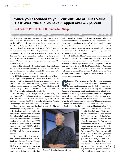# 'Since you ascended to your current role of Chief Value Destroyer, the shares have dropped over 45 percent.'

### —Loeb to Potlatch CEO Pendleton Siegel

companies. At 5:36 p.m. on March 10, 1997, someone calling himself Mr. Pink started a new Silicon Investor thread: "Mr. Pink's Picks: Selected event-driven value investments." Mr. Pink listed "Minister of Truth/Lord of All Things" as his occupation and title. His early picks included Consolidated Freightways Corp., mortuary operator Loewen Group Inc. and Ralcorp Holdings Inc., maker of Ry-Krisp crackers. He warned his readers to avoid poorly managed companies. "When you sleep with dogs, you wake up…poor," he wrote that April.

Over at Third Point, Loeb was hunting for dogs. He began shorting the shares of shaky companies that had been swept upward during the longest stock market boom in history. "It was like shooting fish in a barrel," Loeb says.

In 1998, for example, when the near collapse of Long-Term Capital Management LP roiled Wall Street, Loeb bet against FirstPlus Financial Group Inc., a mortgage lender that had put itself up for sale. Loeb figured the market turbulence would scupper any deal. That April, FirstPlus stock traded as high as \$54.875. By December, it had cratered to \$1.937—a boon for a short seller like Loeb.

Another company that caught Loeb's eye was Hitsgalore .com Inc., a Web portal company that had reported less than \$20,000 of revenue in 1998. The stock leaped to \$20.125 in May 1999 from \$2.38 that March, valuing the Rancho Cucamonga, California–based company at \$1 billion.

people to post anonymous messages about publicly traded people to post anonymous messages about publicly traded Web posters had conspired to defame Hitsgalore. The com- Web posters had conspired to defame Hitsgalore. The company dropped the suit in April 2000. That same month, Hitsgalore sued Bloomberg News for libel; Los Angeles County Superior Court Judge Paul Boland dismissed that complaint in October 2000. Hitsgalore has since abandoned its Internet business; in March 2001, the company changed its name to Diamond Hitts Production Inc.

> By early 2000, Third Point's assets under management had grown to a modest \$136 million, and Loeb was looking for a way to gain leverage over companies. That March, an activist hedge fund manager named Robert Chapman wrote an angry, public letter to J. Michael Wilson, CEO of American Community Properties Trust, a St. Charles, Maryland–based real estate investment trust. Third Point also owned a stake in American Community Properties, and Chapman's missive caught Loeb's attention.

> Chapman, 39, who runs Los Angeles–based Chapman Capital LLC, had attached his letter to a Schedule 13D form, a public document that the SEC requires investors to file when they buy or sell shares if they own more than 5 percent of a company's outstanding stock and intend to influence how the company does business. In his 13D, Chapman analyzed American Community Properties, its value and prospects and laced into the company's management. "The power of hostile 13Ds comes from the publicity," Chapman says now. "Ridicule is a radiating weapon, like a nuclear bomb."

Hitsgalore soon came crashing back to earth. On May 11,

Bloomberg News reported that founder Dorian Reed had had a run-in with the Federal Trade Commission over false claims he'd made to customers of an earlier Internet firm. Hitsgalore stock, trading under the ticker HITT, tanked. Mr. Pink piled on, referring to the company as "sHITT," declaring on his thread, "These crooks belong in jail." Mr. Pink dared the company to sue him.

Hitsgalore obliged, suing Mr. Pink, whom it identified as Loeb. Loeb says he was shorting Hitsgalore stock at the time. In the suit, filed in June 1999 in U.S. District Court in Tampa, Florida, the company claimed that Loeb and other



Loeb says he liked Chapman's style. That September, Loeb

fired off a 13D letter of his own to William Stiritz, chairman of both Agribrands International Inc. and Ralcorp Holdings, both based in St. Louis. Ralcorp, one of Mr. Pink's early picks, had offered \$39 a share for Agribrands, which makes animal feed. Loeb, who owned 505,400 shares of Agribrands, argued the bid was too low. Cargill Inc. agreed. That December, Cargill bid \$54.50 for Agribrands, topping the Ralcorp offer. Loeb says he made \$20 million following the purchase.

Since then, Loeb has filed about two dozen other 13D letters, with varying results. If nothing else, his dispatches are a departure from runof-the-mill business correspondence. **Potlatch's** Siegel **calls Loeb 'extreme.'**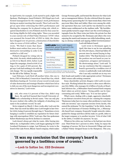In April 2003, for example, Loeb started to pick a fight with Spokane, Washington–based Potlatch. CEO Siegel says Loeb berated management for the company's stock performance during an analyst meeting that month. Then Loeb sent Siegel an open letter criticizing the CEO's performance and blasting the company for its phased-voting rule, which required shareholders to own Potlatch stock for four years before being eligible for full voting rights. "Since you ascended to your current role of Chief Value Destroyer ('CVD') when you assumed the formal title of CEO in 1999, the shares have dropped over 45 percent, a destruction of shareholder

value in excess of \$520 million," Loeb wrote. "We find it ironic that shareholders must endure four years of your destructive stewardship in order to be entitled to a full vote."

Potlatch dropped its voting rule in May 2005. Its stock, which traded as low as \$18.75 in March 2003, before Loeb began his campaign, closed at \$56.37 on Aug. 9, for a gain of 200 percent. Siegel says Loeb had nothing to do with the rule change. "He was equally responsible for the fall of the Taliban," he says.

Last February, Loeb fired off another letter, this one to Sevin, CEO of Stamford, Connecticut–based Star Gas, which distributes heating oil. "A review of your record reveals years of value destruction and strategic blunders which have led us to dub you one of the most dangerous and incompetent executives in America," Loeb wrote.

L oeb, who owns 6.5 percent of Star Gas, didn't stop there. He said he'd learned that Cornell University offered a scholarship in Sevin's name. "One can only pity the poor student who suffers the indignity of attaching your name to his academic record," he said.

Sevin resigned on March 7, three weeks after Loeb sent his letter. Star Gas stock has fallen since Loeb bought in late October 2004, losing 25 percent through Aug. 9. "Sometimes a town hanging is useful to establish my reputation for future dealings with unscrupulous CEOs,'' Loeb says. Star Gas spokesman Robert Rinderman says Sevin declines to comment.

Loeb doesn't always get what he wants. After buying into Salton Inc. in September 2004, Loeb began agitating for CEO Leonhard Dreimann to resign. Last February, he wrote to the board of the Lake Forest, Illinois–based company, which makes George Foreman grills, and berated the directors for what Loeb saw as management failures. He also criticized them for squandering money sponsoring the U.S. Open tennis final, where twin pop icons Mary-Kate and Ashley Olsen were among the celebrity spectators that year. Loeb said he was shocked to see the Salton name emblazoned on the stadium walls. "My bewilderment quickly turned to anger when I saw the crowd seeking autographs from the Olsen twins just below the private box that seemed to be occupied by Mr. Dreimann and others who were enjoying the match and summer sun while hobnobbing, snacking on shrimp cocktails and sipping chilled Gewürztraminer,"

Loeb told Salton's board.

Loeb wrote to Dreimann again in April, this time to say he was unloading his 708,300 shares, which had fallen 80 percent since he started buying in September 2004. "The final decision to exit the position was not based on your incompetence, arrogance and innumerable shortcomings alone," Loeb said. "It was my conclusion that the company's board is governed by a toothless crew of cronies or pathetically weak individuals who I can only conclude are in way over

their heads and unable to take appropriate action." Dreimann didn't return calls seeking comment.

Some shareholder activists disagree with Loeb's in-yourface style. Working behind the scenes is often more effective, says Eric Miller, who manages \$2.4 billion of stocks at Heartland Advisors Inc., a Milwaukee-based mutual fund company that's taken an activist stance. "Going public can be timeconsuming and costly," Miller says. "It is our last option."

What's more, dealing with a single, aggressive shareholder can distract executives from job one: running the company. "Businesses today have too many other problems to waste time with one investor," says corporate investor Irwin Jacobs, who earned the nickname "Irv the Liquidator" in the 1980s. Jacobs, now 63 and chairman of Genmar Holdings Inc., a Minneapolis-based boat company, frequently bought minority stakes, pushed for change and then sold his stake at a profit, either to the target company or to another investor. "A lot of what I did in the 1980s, I wouldn't do anymore," he says.

Whatever his critics say, Loeb has so far had just one down year. Third Point lost 7 percent in 2002. Today, he enjoys the trappings of success. He lives in Greenwich Village and owns a Rafael Viñoly–designed house in the Hamptons. This year,

# 'It was my conclusion that the company's board is governed by a toothless crew of cronies.'

—Loeb to Salton Inc. CEO Dreimann

**Holding Value,** Loeb's picks Sears, Loeb's biggest investment, gained 56 percent in the first seven months of this year.

| <b>Holding</b>              | Value.<br>in thousands |
|-----------------------------|------------------------|
| Sears Holdings              | \$232,850              |
| Dade Behring Holdings       | 168.591                |
| Consol Energy               | 155.166                |
| Canadian National Resources | 144.891                |
| Western Gas Resources       | 127.465                |

For the quarter ended on March 31. Includes only securities required to be disclosed to the SEC. Source: Third Point SEC filing